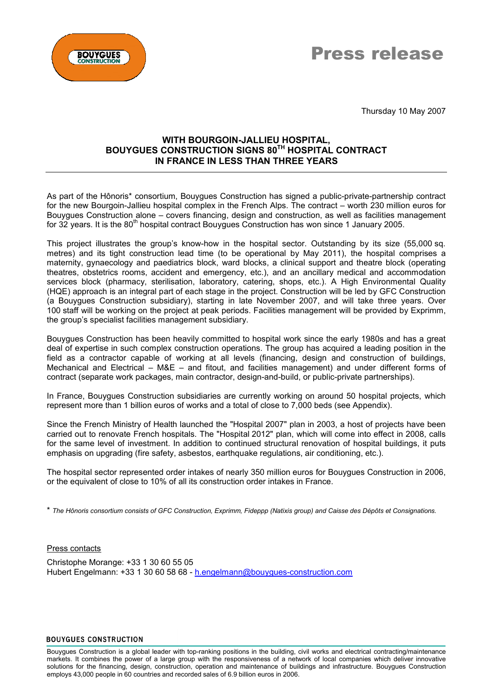



Thursday 10 May 2007

# **WITH BOURGOIN-JALLIEU HOSPITAL, BOUYGUES CONSTRUCTION SIGNS 80TH HOSPITAL CONTRACT IN FRANCE IN LESS THAN THREE YEARS**

As part of the Hônoris\* consortium, Bouygues Construction has signed a public-private-partnership contract for the new Bourgoin-Jallieu hospital complex in the French Alps. The contract – worth 230 million euros for Bouygues Construction alone – covers financing, design and construction, as well as facilities management for 32 years. It is the 80<sup>th</sup> hospital contract Bouygues Construction has won since 1 January 2005.

This project illustrates the group's know-how in the hospital sector. Outstanding by its size (55,000 sq. metres) and its tight construction lead time (to be operational by May 2011), the hospital comprises a maternity, gynaecology and paediatrics block, ward blocks, a clinical support and theatre block (operating theatres, obstetrics rooms, accident and emergency, etc.), and an ancillary medical and accommodation services block (pharmacy, sterilisation, laboratory, catering, shops, etc.). A High Environmental Quality (HQE) approach is an integral part of each stage in the project. Construction will be led by GFC Construction (a Bouygues Construction subsidiary), starting in late November 2007, and will take three years. Over 100 staff will be working on the project at peak periods. Facilities management will be provided by Exprimm, the group's specialist facilities management subsidiary.

Bouygues Construction has been heavily committed to hospital work since the early 1980s and has a great deal of expertise in such complex construction operations. The group has acquired a leading position in the field as a contractor capable of working at all levels (financing, design and construction of buildings, Mechanical and Electrical – M&E – and fitout, and facilities management) and under different forms of contract (separate work packages, main contractor, design-and-build, or public-private partnerships).

In France, Bouygues Construction subsidiaries are currently working on around 50 hospital projects, which represent more than 1 billion euros of works and a total of close to 7,000 beds (see Appendix).

Since the French Ministry of Health launched the "Hospital 2007" plan in 2003, a host of projects have been carried out to renovate French hospitals. The "Hospital 2012" plan, which will come into effect in 2008, calls for the same level of investment. In addition to continued structural renovation of hospital buildings, it puts emphasis on upgrading (fire safety, asbestos, earthquake regulations, air conditioning, etc.).

The hospital sector represented order intakes of nearly 350 million euros for Bouygues Construction in 2006, or the equivalent of close to 10% of all its construction order intakes in France.

\* *The Hônoris consortium consists of GFC Construction, Exprimm, Fideppp (Natixis group) and Caisse des Dépôts et Consignations.*

## Press contacts

Christophe Morange: +33 1 30 60 55 05 Hubert Engelmann: +33 1 30 60 58 68 - [h.engelmann@bouygues-construction.com](mailto:h.engelmann@bouygues-construction.com)

#### **BOUYGUES CONSTRUCTION**

Bouygues Construction is a global leader with top-ranking positions in the building, civil works and electrical contracting/maintenance markets. It combines the power of a large group with the responsiveness of a network of local companies which deliver innovative solutions for the financing, design, construction, operation and maintenance of buildings and infrastructure. Bouygues Construction employs 43,000 people in 60 countries and recorded sales of 6.9 billion euros in 2006.